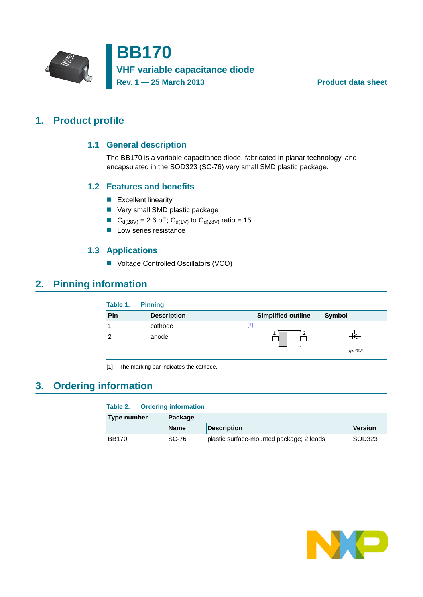

**BB170 VHF variable capacitance diode Rev. 1 — 25 March 2013 Product data sheet**

### <span id="page-0-2"></span><span id="page-0-1"></span>**1. Product profile**

### **1.1 General description**

The BB170 is a variable capacitance diode, fabricated in planar technology, and encapsulated in the SOD323 (SC-76) very small SMD plastic package.

#### <span id="page-0-3"></span>**1.2 Features and benefits**

- **Excellent linearity**
- **Very small SMD plastic package**
- G<sub>d(28V)</sub> = 2.6 pF; C<sub>d(1V)</sub> to C<sub>d(28V)</sub> ratio = 15
- **Low series resistance**

#### **1.3 Applications**

■ Voltage Controlled Oscillators (VCO)

### <span id="page-0-5"></span><span id="page-0-4"></span>**2. Pinning information**

| Table 1. | <b>Pinning</b>     |                                                                                                                                                                                                                                                     |               |
|----------|--------------------|-----------------------------------------------------------------------------------------------------------------------------------------------------------------------------------------------------------------------------------------------------|---------------|
| Pin      | <b>Description</b> | <b>Simplified outline</b>                                                                                                                                                                                                                           | <b>Symbol</b> |
|          | cathode            | $[1] % \includegraphics[width=0.9\columnwidth]{figures/fig_10.pdf} \caption{The graph $\mathcal{N}_1$ is a function of the number of~\textit{N}_1$ (left) and the number of~\textit{N}_2$ (right) are shown in Fig.~\ref{fig:10}. } \label{fig:11}$ |               |
| ◠        | anode              |                                                                                                                                                                                                                                                     |               |
|          |                    |                                                                                                                                                                                                                                                     | sym008        |

<span id="page-0-0"></span>[1] The marking bar indicates the cathode.

### <span id="page-0-6"></span>**3. Ordering information**

#### **Table 2. Ordering information**

| Type number  | Package     |                                          |                |
|--------------|-------------|------------------------------------------|----------------|
|              | <b>Name</b> | <b>Description</b>                       | <b>Version</b> |
| <b>BB170</b> | SC-76       | plastic surface-mounted package; 2 leads | SOD323         |

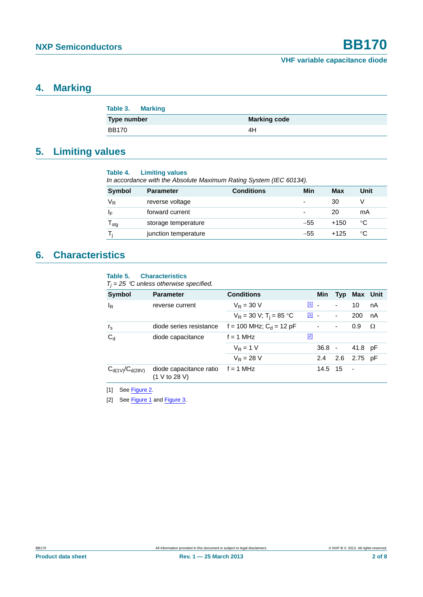### <span id="page-1-2"></span>**4. Marking**

| Table 3. Marking |                     |
|------------------|---------------------|
| Type number      | <b>Marking code</b> |
| <b>BB170</b>     | 4H                  |

### <span id="page-1-3"></span>**5. Limiting values**

| Table 4. | <b>Limiting values</b>                     |  |
|----------|--------------------------------------------|--|
|          | In accordance with the Absolute Maximum Ra |  |

| In accordance with the Absolute Maximum Rating System (IEC 60134). |                      |                   |                          |        |      |
|--------------------------------------------------------------------|----------------------|-------------------|--------------------------|--------|------|
| <b>Symbol</b>                                                      | <b>Parameter</b>     | <b>Conditions</b> | Min                      | Max    | Unit |
| $\mathsf{V}_\mathsf{R}$                                            | reverse voltage      |                   |                          | 30     |      |
| ١F                                                                 | forward current      |                   | $\overline{\phantom{0}}$ | 20     | mA   |
| $T_{\text{stg}}$                                                   | storage temperature  |                   | $-55$                    | $+150$ | °C   |
|                                                                    | junction temperature |                   | $-55$                    | $+125$ | °C   |

### <span id="page-1-4"></span>**6. Characteristics**

#### **Table 5. Characteristics**

 $T_j = 25$  °C unless otherwise specified.

| Symbol                 | <b>Parameter</b>                         | <b>Conditions</b>                     |                         | Min            |                          | Typ Max Unit |    |
|------------------------|------------------------------------------|---------------------------------------|-------------------------|----------------|--------------------------|--------------|----|
| $I_R$                  | reverse current                          | $V_R = 30 V$                          | $\boxed{1}$ $\boxed{1}$ |                | $\blacksquare$           | 10           | nA |
|                        |                                          | $V_R = 30 V$ ; T <sub>i</sub> = 85 °C | $\boxed{1}$ $\boxed{1}$ |                | $\blacksquare$           | 200          | nA |
| $r_{\rm s}$            | diode series resistance                  | f = 100 MHz; $C_d$ = 12 pF            |                         | $\blacksquare$ | $\overline{\phantom{a}}$ | 0.9          | Ω  |
| $C_d$                  | diode capacitance                        | $f = 1$ MHz                           | $[2]$                   |                |                          |              |    |
|                        |                                          | $V_R = 1 V$                           |                         | $36.8 -$       |                          | 41.8 pF      |    |
|                        |                                          | $V_{\rm R} = 28$ V                    |                         | $2.4^{\circ}$  |                          | 2.6 2.75 pF  |    |
| $C_{d(1V)}/C_{d(28V)}$ | diode capacitance ratio<br>(1 V to 28 V) | $f = 1$ MHz                           |                         | 14.5 15        |                          | $\sim$       |    |

<span id="page-1-0"></span>[1] See [Figure 2.](#page-2-0)

<span id="page-1-1"></span>[2] See [Figure 1](#page-2-1) and [Figure 3](#page-2-2).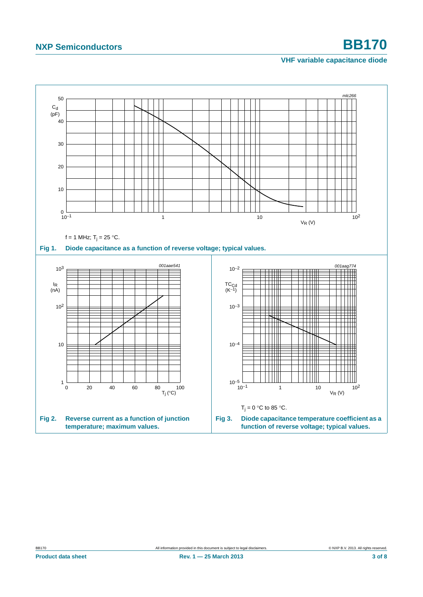# **NXP Semiconductors BB170**

#### <span id="page-2-2"></span>**VHF variable capacitance diode**

<span id="page-2-1"></span><span id="page-2-0"></span>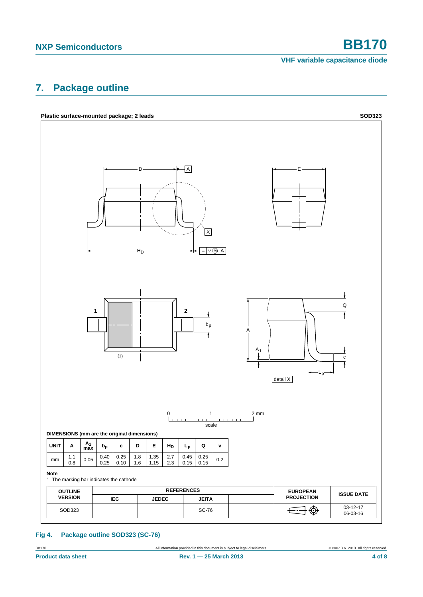**VHF variable capacitance diode**

### <span id="page-3-0"></span>**7. Package outline**



#### **Fig 4. Package outline SOD323 (SC-76)**

BB170 **All information provided in this document is subject to legal disclaimers.** © NXP B.V. 2013. All rights reserved.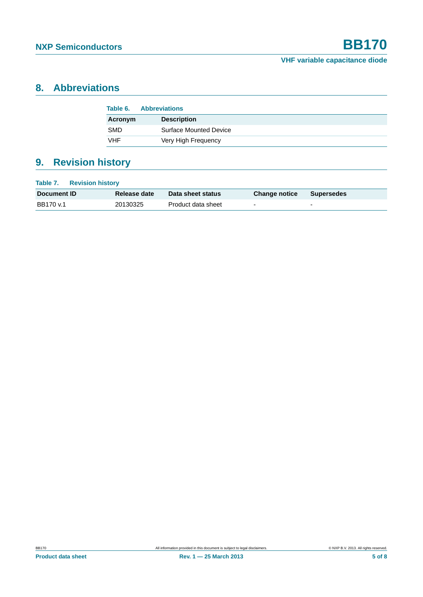## <span id="page-4-0"></span>**8. Abbreviations**

| Table 6.   | <b>Abbreviations</b>          |  |
|------------|-------------------------------|--|
| Acronym    | <b>Description</b>            |  |
| <b>SMD</b> | <b>Surface Mounted Device</b> |  |
| VHF        | Very High Frequency           |  |

# <span id="page-4-1"></span>**9. Revision history**

| Table 7.<br><b>Revision history</b> |              |                    |                      |                          |  |
|-------------------------------------|--------------|--------------------|----------------------|--------------------------|--|
| Document ID                         | Release date | Data sheet status  | <b>Change notice</b> | <b>Supersedes</b>        |  |
| BB170 v.1                           | 20130325     | Product data sheet | $\overline{a}$       | $\overline{\phantom{a}}$ |  |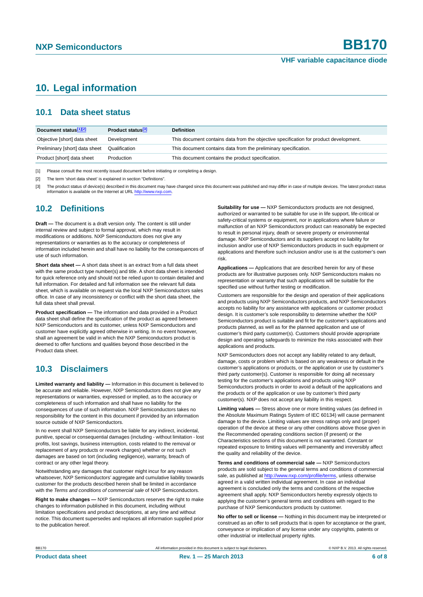### <span id="page-5-0"></span>**10. Legal information**

#### <span id="page-5-1"></span>**10.1 Data sheet status**

| Document status[1][2]          | Product status <sup>[3]</sup> | <b>Definition</b>                                                                     |
|--------------------------------|-------------------------------|---------------------------------------------------------------------------------------|
| Objective [short] data sheet   | Development                   | This document contains data from the objective specification for product development. |
| Preliminary [short] data sheet | Qualification                 | This document contains data from the preliminary specification.                       |
| Product [short] data sheet     | Production                    | This document contains the product specification.                                     |

[1] Please consult the most recently issued document before initiating or completing a design.

[2] The term 'short data sheet' is explained in section "Definitions".

[3] The product status of device(s) described in this document may have changed since this document was published and may differ in case of multiple devices. The latest product status<br>information is available on the Intern

#### <span id="page-5-2"></span>**10.2 Definitions**

**Draft —** The document is a draft version only. The content is still under internal review and subject to formal approval, which may result in modifications or additions. NXP Semiconductors does not give any representations or warranties as to the accuracy or completeness of information included herein and shall have no liability for the consequences of use of such information.

**Short data sheet —** A short data sheet is an extract from a full data sheet with the same product type number(s) and title. A short data sheet is intended for quick reference only and should not be relied upon to contain detailed and full information. For detailed and full information see the relevant full data sheet, which is available on request via the local NXP Semiconductors sales office. In case of any inconsistency or conflict with the short data sheet, the full data sheet shall prevail.

**Product specification —** The information and data provided in a Product data sheet shall define the specification of the product as agreed between NXP Semiconductors and its customer, unless NXP Semiconductors and customer have explicitly agreed otherwise in writing. In no event however, shall an agreement be valid in which the NXP Semiconductors product is deemed to offer functions and qualities beyond those described in the Product data sheet.

#### <span id="page-5-3"></span>**10.3 Disclaimers**

**Limited warranty and liability —** Information in this document is believed to be accurate and reliable. However, NXP Semiconductors does not give any representations or warranties, expressed or implied, as to the accuracy or completeness of such information and shall have no liability for the consequences of use of such information. NXP Semiconductors takes no responsibility for the content in this document if provided by an information source outside of NXP Semiconductors.

In no event shall NXP Semiconductors be liable for any indirect, incidental, punitive, special or consequential damages (including - without limitation - lost profits, lost savings, business interruption, costs related to the removal or replacement of any products or rework charges) whether or not such damages are based on tort (including negligence), warranty, breach of contract or any other legal theory.

Notwithstanding any damages that customer might incur for any reason whatsoever, NXP Semiconductors' aggregate and cumulative liability towards customer for the products described herein shall be limited in accordance with the *Terms and conditions of commercial sale* of NXP Semiconductors.

**Right to make changes —** NXP Semiconductors reserves the right to make changes to information published in this document, including without limitation specifications and product descriptions, at any time and without notice. This document supersedes and replaces all information supplied prior to the publication hereof.

**Suitability for use —** NXP Semiconductors products are not designed, authorized or warranted to be suitable for use in life support, life-critical or safety-critical systems or equipment, nor in applications where failure or malfunction of an NXP Semiconductors product can reasonably be expected to result in personal injury, death or severe property or environmental damage. NXP Semiconductors and its suppliers accept no liability for inclusion and/or use of NXP Semiconductors products in such equipment or applications and therefore such inclusion and/or use is at the customer's own risk.

**Applications —** Applications that are described herein for any of these products are for illustrative purposes only. NXP Semiconductors makes no representation or warranty that such applications will be suitable for the specified use without further testing or modification.

Customers are responsible for the design and operation of their applications and products using NXP Semiconductors products, and NXP Semiconductors accepts no liability for any assistance with applications or customer product design. It is customer's sole responsibility to determine whether the NXP Semiconductors product is suitable and fit for the customer's applications and products planned, as well as for the planned application and use of customer's third party customer(s). Customers should provide appropriate design and operating safeguards to minimize the risks associated with their applications and products.

NXP Semiconductors does not accept any liability related to any default. damage, costs or problem which is based on any weakness or default in the customer's applications or products, or the application or use by customer's third party customer(s). Customer is responsible for doing all necessary testing for the customer's applications and products using NXP Semiconductors products in order to avoid a default of the applications and the products or of the application or use by customer's third party customer(s). NXP does not accept any liability in this respect.

**Limiting values —** Stress above one or more limiting values (as defined in the Absolute Maximum Ratings System of IEC 60134) will cause permanent damage to the device. Limiting values are stress ratings only and (proper) operation of the device at these or any other conditions above those given in the Recommended operating conditions section (if present) or the Characteristics sections of this document is not warranted. Constant or repeated exposure to limiting values will permanently and irreversibly affect the quality and reliability of the device.

**Terms and conditions of commercial sale —** NXP Semiconductors products are sold subject to the general terms and conditions of commercial sale, as published at<http://www.nxp.com/profile/terms>, unless otherwise agreed in a valid written individual agreement. In case an individual agreement is concluded only the terms and conditions of the respective agreement shall apply. NXP Semiconductors hereby expressly objects to applying the customer's general terms and conditions with regard to the purchase of NXP Semiconductors products by customer.

**No offer to sell or license —** Nothing in this document may be interpreted or construed as an offer to sell products that is open for acceptance or the grant, conveyance or implication of any license under any copyrights, patents or other industrial or intellectual property rights.

BB170 All information provided in this document is subject to legal disclaimers. © NXP B.V. 2013. All rights reserved.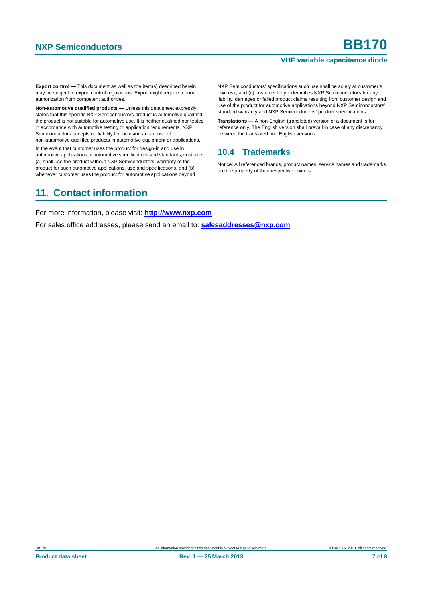#### **VHF variable capacitance diode**

**Export control —** This document as well as the item(s) described herein may be subject to export control regulations. Export might require a prior authorization from competent authorities.

**Non-automotive qualified products —** Unless this data sheet expressly states that this specific NXP Semiconductors product is automotive qualified, the product is not suitable for automotive use. It is neither qualified nor tested in accordance with automotive testing or application requirements. NXP Semiconductors accepts no liability for inclusion and/or use of non-automotive qualified products in automotive equipment or applications.

In the event that customer uses the product for design-in and use in automotive applications to automotive specifications and standards, customer (a) shall use the product without NXP Semiconductors' warranty of the product for such automotive applications, use and specifications, and (b) whenever customer uses the product for automotive applications beyond

NXP Semiconductors' specifications such use shall be solely at customer's own risk, and (c) customer fully indemnifies NXP Semiconductors for any liability, damages or failed product claims resulting from customer design and use of the product for automotive applications beyond NXP Semiconductors' standard warranty and NXP Semiconductors' product specifications.

**Translations —** A non-English (translated) version of a document is for reference only. The English version shall prevail in case of any discrepancy between the translated and English versions.

#### <span id="page-6-0"></span>**10.4 Trademarks**

Notice: All referenced brands, product names, service names and trademarks are the property of their respective owners.

### <span id="page-6-1"></span>**11. Contact information**

For more information, please visit: **http://www.nxp.com**

For sales office addresses, please send an email to: **salesaddresses@nxp.com**